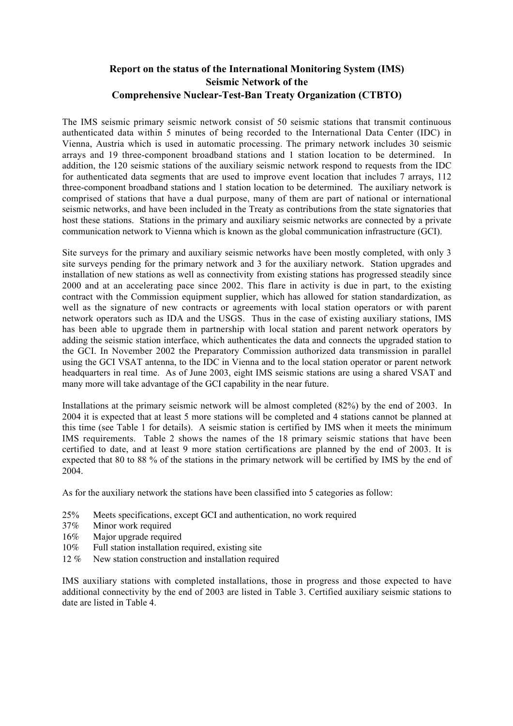## **Report on the status of the International Monitoring System (IMS) Seismic Network of the Comprehensive Nuclear-Test-Ban Treaty Organization (CTBTO)**

The IMS seismic primary seismic network consist of 50 seismic stations that transmit continuous authenticated data within 5 minutes of being recorded to the International Data Center (IDC) in Vienna, Austria which is used in automatic processing. The primary network includes 30 seismic arrays and 19 three-component broadband stations and 1 station location to be determined. In addition, the 120 seismic stations of the auxiliary seismic network respond to requests from the IDC for authenticated data segments that are used to improve event location that includes 7 arrays, 112 three-component broadband stations and 1 station location to be determined. The auxiliary network is comprised of stations that have a dual purpose, many of them are part of national or international seismic networks, and have been included in the Treaty as contributions from the state signatories that host these stations. Stations in the primary and auxiliary seismic networks are connected by a private communication network to Vienna which is known as the global communication infrastructure (GCI).

Site surveys for the primary and auxiliary seismic networks have been mostly completed, with only 3 site surveys pending for the primary network and 3 for the auxiliary network. Station upgrades and installation of new stations as well as connectivity from existing stations has progressed steadily since 2000 and at an accelerating pace since 2002. This flare in activity is due in part, to the existing contract with the Commission equipment supplier, which has allowed for station standardization, as well as the signature of new contracts or agreements with local station operators or with parent network operators such as IDA and the USGS. Thus in the case of existing auxiliary stations, IMS has been able to upgrade them in partnership with local station and parent network operators by adding the seismic station interface, which authenticates the data and connects the upgraded station to the GCI. In November 2002 the Preparatory Commission authorized data transmission in parallel using the GCI VSAT antenna, to the IDC in Vienna and to the local station operator or parent network headquarters in real time. As of June 2003, eight IMS seismic stations are using a shared VSAT and many more will take advantage of the GCI capability in the near future.

Installations at the primary seismic network will be almost completed (82%) by the end of 2003. In 2004 it is expected that at least 5 more stations will be completed and 4 stations cannot be planned at this time (see Table 1 for details). A seismic station is certified by IMS when it meets the minimum IMS requirements. Table 2 shows the names of the 18 primary seismic stations that have been certified to date, and at least 9 more station certifications are planned by the end of 2003. It is expected that 80 to 88 % of the stations in the primary network will be certified by IMS by the end of 2004.

As for the auxiliary network the stations have been classified into 5 categories as follow:

- 25% Meets specifications, except GCI and authentication, no work required
- 37% Minor work required
- 16% Major upgrade required
- 10% Full station installation required, existing site
- 12 % New station construction and installation required

IMS auxiliary stations with completed installations, those in progress and those expected to have additional connectivity by the end of 2003 are listed in Table 3. Certified auxiliary seismic stations to date are listed in Table 4.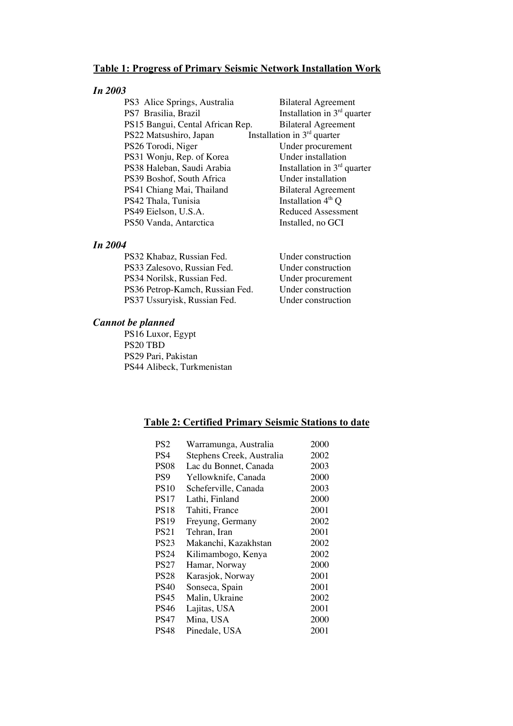#### **Table 1: Progress of Primary Seismic Network Installation Work**

#### *In 2003*

PS3 Alice Springs, Australia Bilateral Agreement PS7 Brasilia, Brazil Installation in 3<sup>rd</sup> quarter PS15 Bangui, Cental African Rep. Bilateral Agreement PS22 Matsushiro, Japan Installation in 3<sup>rd</sup> quarter<br>PS26 Torodi, Niger Under procurement PS26 Torodi, Niger<br>
PS31 Woniu. Rep. of Korea<br>
Under installation PS31 Wonju, Rep. of Korea Under installation<br>
PS38 Haleban, Saudi Arabia Installation in 3<sup>rd</sup> quarter PS38 Haleban, Saudi Arabia Installation in 3<sup>rd</sup> q<br>PS39 Boshof. South Africa Under installation PS39 Boshof, South Africa<br>
PS41 Chiang Mai, Thailand<br>
Bilateral Agreement PS41 Chiang Mai, Thailand Bilateral Agreem<br>PS42 Thala. Tunisia Bilateral Agreem PS42 Thala, Tunisia PS49 Eielson, U.S.A. Reduced Assessment PS50 Vanda, Antarctica Installed, no GCI

#### *In 2004*

| PS32 Khabaz, Russian Fed.       | Under construction |
|---------------------------------|--------------------|
| PS33 Zalesovo, Russian Fed.     | Under construction |
| PS34 Norilsk, Russian Fed.      | Under procurement  |
| PS36 Petrop-Kamch, Russian Fed. | Under construction |
| PS37 Ussuryisk, Russian Fed.    | Under construction |

#### *Cannot be planned*

PS16 Luxor, Egypt PS20 TBD PS29 Pari, Pakistan PS44 Alibeck, Turkmenistan

#### **Table 2: Certified Primary Seismic Stations to date**

| Warramunga, Australia     | 2000 |
|---------------------------|------|
| Stephens Creek, Australia | 2002 |
| Lac du Bonnet, Canada     | 2003 |
| Yellowknife, Canada       | 2000 |
| Scheferville, Canada      | 2003 |
| Lathi, Finland            | 2000 |
| Tahiti, France            | 2001 |
| Freyung, Germany          | 2002 |
| Tehran. Iran              | 2001 |
| Makanchi, Kazakhstan      | 2002 |
| Kilimambogo, Kenya        | 2002 |
| Hamar, Norway             | 2000 |
| Karasjok, Norway          | 2001 |
| Sonseca, Spain            | 2001 |
| Malin, Ukraine            | 2002 |
| Lajitas, USA              | 2001 |
| Mina, USA                 | 2000 |
| Pinedale, USA             | 2001 |
|                           |      |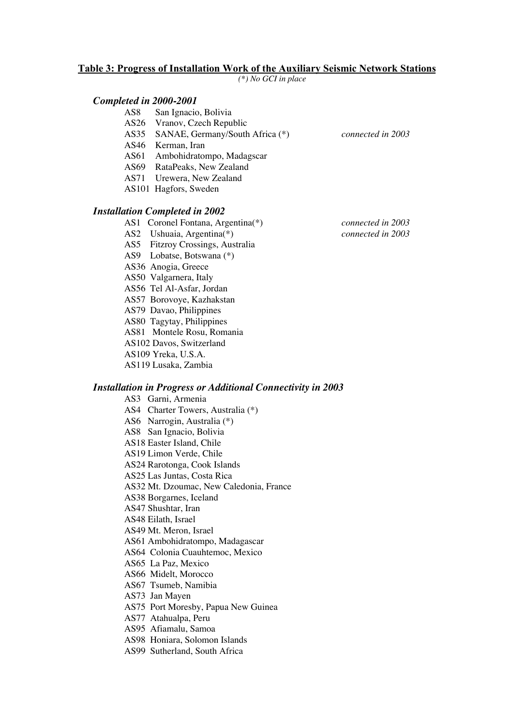#### **Table 3: Progress of Installation Work of the Auxiliary Seismic Network Stations**

*(\*) No GCI in place*

# *Completed in 2000-2001*

- San Ignacio, Bolivia
- AS26 Vranov, Czech Republic
- AS35 SANAE, Germany/South Africa (\*) *connected in 2003*
- AS46 Kerman, Iran
- AS61 Ambohidratompo, Madagscar
- AS69 RataPeaks, New Zealand
- AS71 Urewera, New Zealand
- AS101 Hagfors, Sweden

#### *Installation Completed in 2002*

- AS1 Coronel Fontana, Argentina(\*) *connected in 2003*
- AS2 Ushuaia, Argentina(\*) *connected in 2003*
- AS5 Fitzroy Crossings, Australia
- AS9 Lobatse, Botswana (\*)
- AS36 Anogia, Greece
- AS50 Valgarnera, Italy
- AS56 Tel Al-Asfar, Jordan
- AS57 Borovoye, Kazhakstan
- AS79 Davao, Philippines
- AS80 Tagytay, Philippines
- AS81 Montele Rosu, Romania
- AS102 Davos, Switzerland
- AS109 Yreka, U.S.A.
- AS119 Lusaka, Zambia

#### *Installation in Progress or Additional Connectivity in 2003*

AS3 Garni, Armenia AS4 Charter Towers, Australia (\*) AS6 Narrogin, Australia (\*) AS8 San Ignacio, Bolivia AS18 Easter Island, Chile AS19 Limon Verde, Chile AS24 Rarotonga, Cook Islands AS25 Las Juntas, Costa Rica AS32 Mt. Dzoumac, New Caledonia, France AS38 Borgarnes, Iceland AS47 Shushtar, Iran AS48 Eilath, Israel AS49 Mt. Meron, Israel AS61 Ambohidratompo, Madagascar AS64 Colonia Cuauhtemoc, Mexico AS65 La Paz, Mexico AS66 Midelt, Morocco AS67 Tsumeb, Namibia AS73 Jan Mayen AS75 Port Moresby, Papua New Guinea AS77 Atahualpa, Peru AS95 Afiamalu, Samoa AS98 Honiara, Solomon Islands

AS99 Sutherland, South Africa